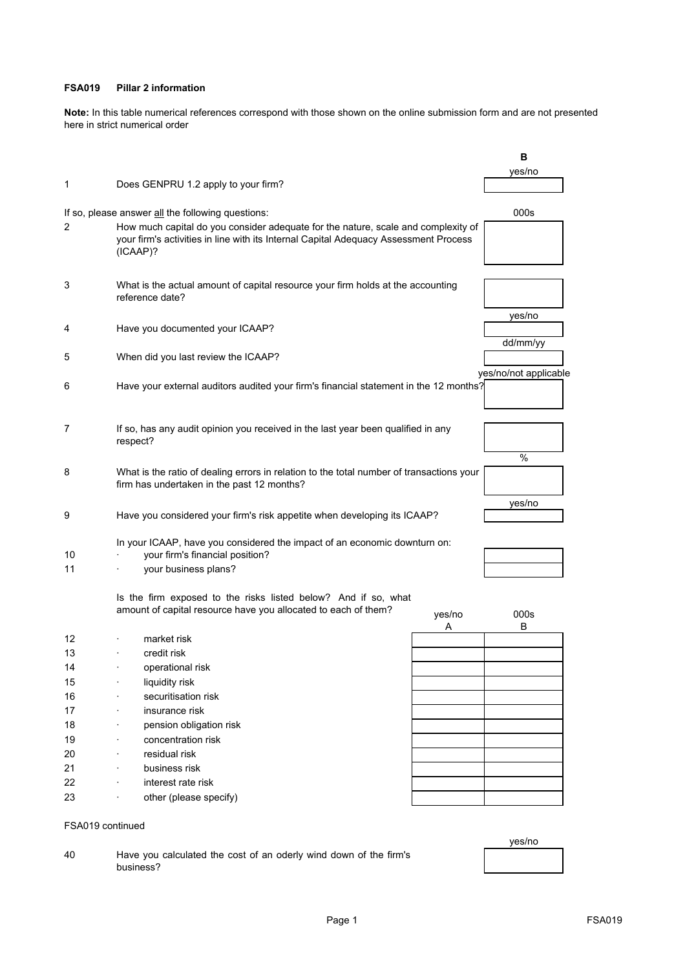## **FSA019 Pillar 2 information**

**Note:** In this table numerical references correspond with those shown on the online submission form and are not presented here in strict numerical order

|                  |                                                                                          |        | в                     |
|------------------|------------------------------------------------------------------------------------------|--------|-----------------------|
|                  |                                                                                          |        | yes/no                |
| 1                | Does GENPRU 1.2 apply to your firm?                                                      |        |                       |
|                  |                                                                                          |        |                       |
|                  | If so, please answer all the following questions:                                        |        | 000s                  |
| 2                | How much capital do you consider adequate for the nature, scale and complexity of        |        |                       |
|                  | your firm's activities in line with its Internal Capital Adequacy Assessment Process     |        |                       |
|                  | (ICAAP)?                                                                                 |        |                       |
|                  |                                                                                          |        |                       |
| 3                | What is the actual amount of capital resource your firm holds at the accounting          |        |                       |
|                  | reference date?                                                                          |        |                       |
|                  |                                                                                          |        | yes/no                |
| 4                | Have you documented your ICAAP?                                                          |        |                       |
|                  |                                                                                          |        | dd/mm/yy              |
| 5                | When did you last review the ICAAP?                                                      |        |                       |
|                  |                                                                                          |        | yes/no/not applicable |
| 6                | Have your external auditors audited your firm's financial statement in the 12 months?    |        |                       |
|                  |                                                                                          |        |                       |
|                  |                                                                                          |        |                       |
| 7                | If so, has any audit opinion you received in the last year been qualified in any         |        |                       |
|                  | respect?                                                                                 |        |                       |
|                  |                                                                                          |        | $\%$                  |
| 8                | What is the ratio of dealing errors in relation to the total number of transactions your |        |                       |
|                  | firm has undertaken in the past 12 months?                                               |        |                       |
|                  |                                                                                          |        | yes/no                |
| 9                | Have you considered your firm's risk appetite when developing its ICAAP?                 |        |                       |
|                  |                                                                                          |        |                       |
|                  | In your ICAAP, have you considered the impact of an economic downturn on:                |        |                       |
| 10               | your firm's financial position?                                                          |        |                       |
| 11               | your business plans?                                                                     |        |                       |
|                  |                                                                                          |        |                       |
|                  | Is the firm exposed to the risks listed below? And if so, what                           |        |                       |
|                  | amount of capital resource have you allocated to each of them?                           | yes/no | 000s                  |
|                  |                                                                                          | Α      | B                     |
| 12               | market risk                                                                              |        |                       |
| 13               | credit risk                                                                              |        |                       |
| 14               | operational risk                                                                         |        |                       |
| 15               | liquidity risk                                                                           |        |                       |
| 16               | securitisation risk                                                                      |        |                       |
| 17               | insurance risk                                                                           |        |                       |
| 18               | pension obligation risk                                                                  |        |                       |
| 19               | concentration risk                                                                       |        |                       |
| 20               | residual risk                                                                            |        |                       |
| 21               | business risk                                                                            |        |                       |
| 22               | interest rate risk                                                                       |        |                       |
| 23               | other (please specify)                                                                   |        |                       |
|                  |                                                                                          |        |                       |
| FSA019 continued |                                                                                          |        |                       |

40 Have you calculated the cost of an oderly wind down of the firm's business?